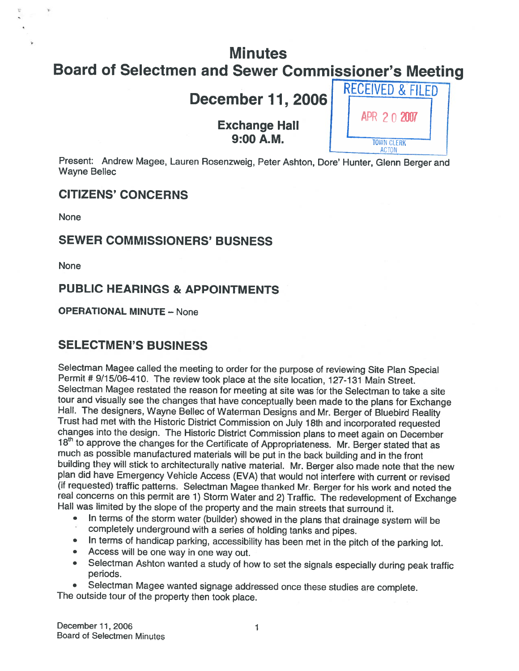# **Minutes**

# Board of Selectmen and Sewer Commissioner's Meeting<br>
RECEIVED & FILED

# December 11, 2006

# Exchange Hall  $\left\{\begin{array}{c} \text{APR } 2 \text{ 0 } 2007 \\ \text{1000 A.M.} \end{array}\right.$

— ACTON

Present: Andrew Magee, Lauren Rosenzweig, Peter Ashton, Dore' Hunter, Glenn Berger and Wayne Bellec

## CITIZENS' CONCERNS

None

## SEWER COMMISSIONERS' BUSNESS

None

# PUBLIC HEARINGS & APPOINTMENTS

#### OPERATIONAL MINUTE — None

# SELECTMEN'S BUSINESS

Selectman Magee called the meeting to order for the purpose of reviewing Site Plan Special Permit # 9/15/06-410. The review took <sup>p</sup>lace at the site location, 127-131 Main Street. Selectman Magee restated the reason for meeting at site was for the Selectman to take a site<br>tour and visually see the changes that have conceptually been made to the plans for Exchange Hall. The designers, Wayne Bellec of Waterman Designs and Mr. Berger of Bluebird Reality<br>Trust had met with the Historic District Commission on July 18th and incorporated requested<br>changes into the design. The Historic Dis building they will stick to architecturally native material. Mr. Berger also made note that the new plan did have Emergency Vehicle Access (EVA) that would not interfere with current or revised<br>(if requested) traffic patterns. Selectman Magee thanked Mr. Berger for his work and noted the real concerns on this permit are 1) Storm Water and 2) Traffic. The redevelopment of Exchange Hall was limited by the slope of the property and the main streets that surround it.

- • In terms of the storm water (builder) showed in the <sup>p</sup>lans that drainage system will be completely underground with <sup>a</sup> series of holding tanks and <sup>p</sup>ipes.
- In terms of handicap parking, accessibility has been met in the <sup>p</sup>itch of the parking lot.
- Access will be one way in one way out.
- • Selectman Ashton wanted <sup>a</sup> study of how to set the signals especially during peak traffic periods.

•• Selectman Magee wanted signage addressed once these studies are complete.<br>The outside tour of the property then took place.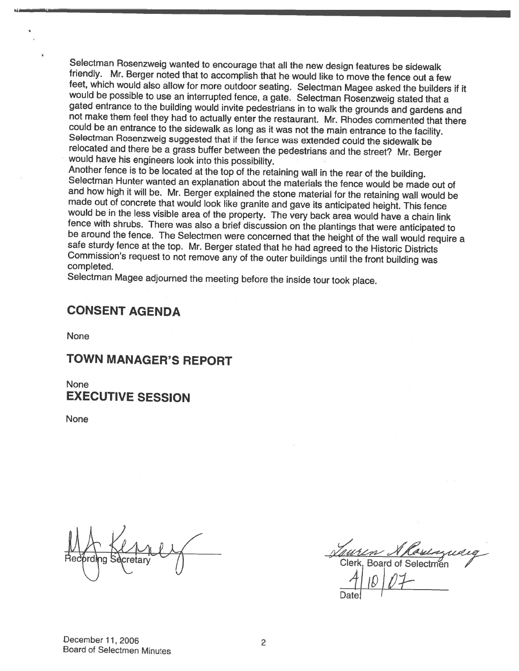Selectman Rosenzweig wanted to encourage that all the new design features be sidewalk<br>friendly. Mr. Berger noted that to accomplish that he would like to move the fence out a few<br>feet, which would also allow for more outdo

Selectman Magee adjourned the meeting before the inside tour took <sup>p</sup>lace.

# CONSENT AGENDA

None

# TOWN MANAGER'S REPORT

None EXECUTIVE SESSION

None

in Alasiczuel<br>Board of Selectmen

Date

# December 11, 2006<br>Board of Selectmen Minutes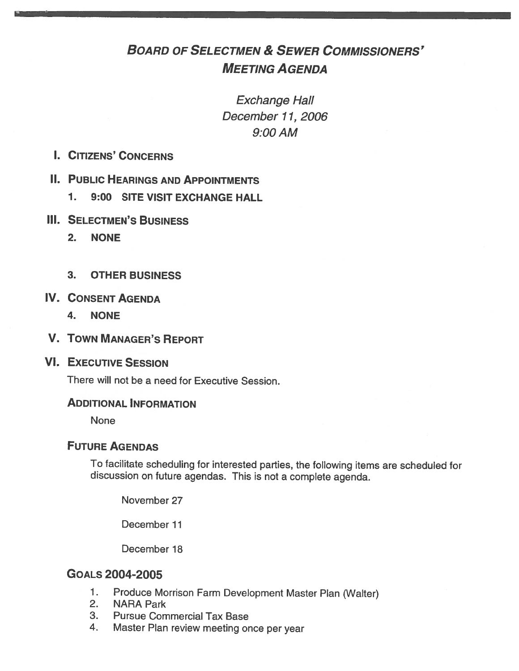# BOARD OF SELECTMEN & SEWER COMMISSIONERS' MEETING AGENDA

Exchange Hall December 11, 2006 9:00AM

I. CITIZENS' CONCERNS

#### **II. PUBLIC HEARINGS AND APPOINTMENTS**

- 1. 9:00 SITE VISIT EXCHANGE HALL
- **III. SELECTMEN'S BUSINESS** 
	- 2. NONE
	- 3. OTHER BUSINESS
- IV. CONSENT AGENDA
	- 4. NONE
- V. TOWN MANAGER'S REPORT

#### VI. EXECUTIVE SESSION

There will not be <sup>a</sup> need for Executive Session.

#### ADDITIONAL INFORMATION

None

## FUTURE AGENDAS

To facilitate scheduling for interested parties, the following items are scheduled for discussion on future agendas. This is not <sup>a</sup> complete agenda.

November 27

December 11

December 18

## GOALS 2004-2005

- 1. Produce Morrison Farm Development Master Plan (Walter)<br>2. NARA Park
- **NARA Park**
- 3. Pursue Commercial Tax Base
- 4. Master Plan review meeting once per year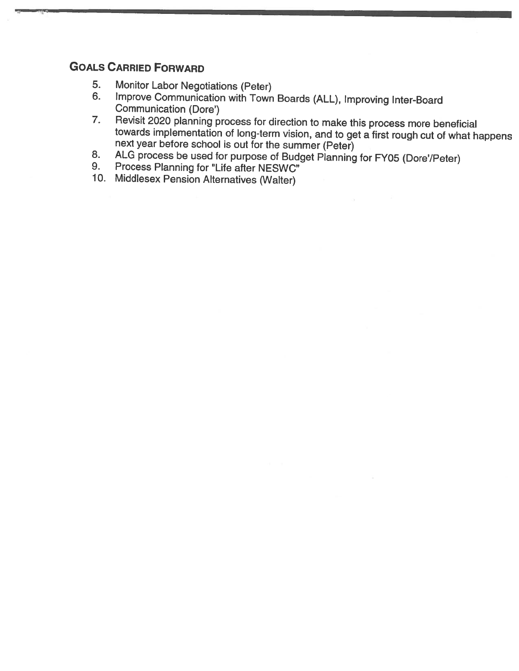# GOALS CARRIED FORWARD

- 5. Monitor Labor Negotiations (Peter)<br>6. Improve Communication with Town
- 6. Improve Communication with Town Boards (ALL), Improving Inter-Board<br>Communication (Dore')<br>7. Revisit 2020 planning process for direction to make this process more beneficial
- towards implementation of long-term vision, and to get a first rough cut of what happens next year before school is out for the summer (Peter)
- 8. ALG process be used for purpose of Budget Planning for FY05 (Dore'/Peter) 9. Process Planning for "Life after NESWC"
- 
- 10. Middlesex Pension Alternatives (Walter)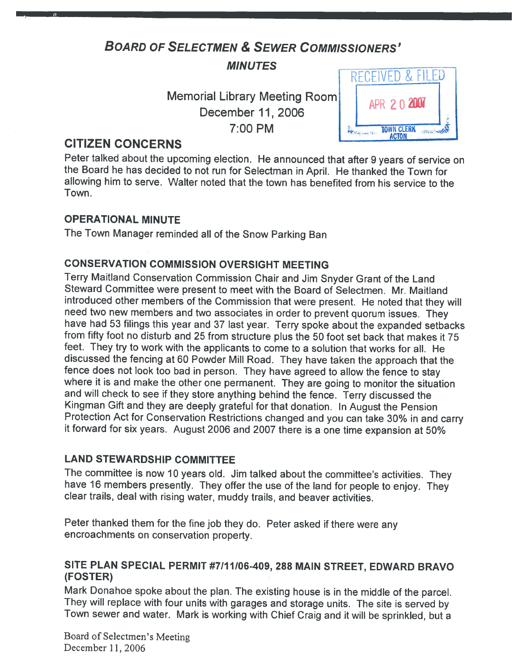# BOARD OF SELECTMEN & SEWER COMMIssIoNERs'

MINUTES

Memorial Library Meeting Room December 11, 2006 7:00 PM



# CITIZEN CONCERNS

Peter talked about the upcoming election. He announced that after <sup>9</sup> years of service on the Board he has decided to not run for Selectman in April. He thanked the Town for allowing him to serve. Walter noted that the town has benefited from his service to the Town.

#### OPERATIONAL MINUTE

The Town Manager reminded all of the Snow Parking Ban

#### CONSERVATION COMMISSION OVERSIGHT MEETING

Terry Maitland Conservation Commission Chair and Jim Snyder Grant of the Land Steward Committee were present to meet with the Board of Selectmen. Mr. Maitland introduced other members of the Commission that were present. He noted that they will need two new members and two associates in order to prevent quorum issues. They have had <sup>53</sup> filings this year and <sup>37</sup> last year. Terry spoke about the expanded setbacks from fifty foot no disturb and <sup>25</sup> from structure <sup>p</sup>lus the <sup>50</sup> foot set back that makes it <sup>75</sup> feet. They try to work with the applicants to come to <sup>a</sup> solution that works for all. He discussed the fencing at <sup>60</sup> Powder Mill Road. They have taken the approach that the fence does not look too bad in person. They have agreed to allow the fence to stay where it is and make the other one permanent. They are going to monitor the situation and will check to see if they store anything behind the fence. Terry discussed the Kingman Gift and they are deeply grateful for that donation. In August the Pension Protection Act for Conservation Restrictions changed and you can take 30% in and carry it forward for six years. August <sup>2006</sup> and <sup>2007</sup> there is <sup>a</sup> one time expansion at 50%

#### LAND STEWARDSHIP COMMITTEE

The committee is now <sup>10</sup> years old. Jim talked about the committee's activities. They have <sup>16</sup> members presently. They offer the use of the land for people to enjoy. They clear trails, deal with rising water, muddy trails, and beaver activities.

Peter thanked them for the fine job they do. Peter asked if there were any encroachments on conservation property.

#### SITE PLAN SPECIAL PERMIT #7/11/06-409, 288 MAIN STREET, EDWARD BRAVO (FOSTER)

Mark Donahoe spoke about the <sup>p</sup>lan. The existing house is in the middle of the parcel. They will replace with four units with garages and storage units. The site is served by Town sewer and water. Mark is working with Chief Craig and it will be sprinkled, but <sup>a</sup>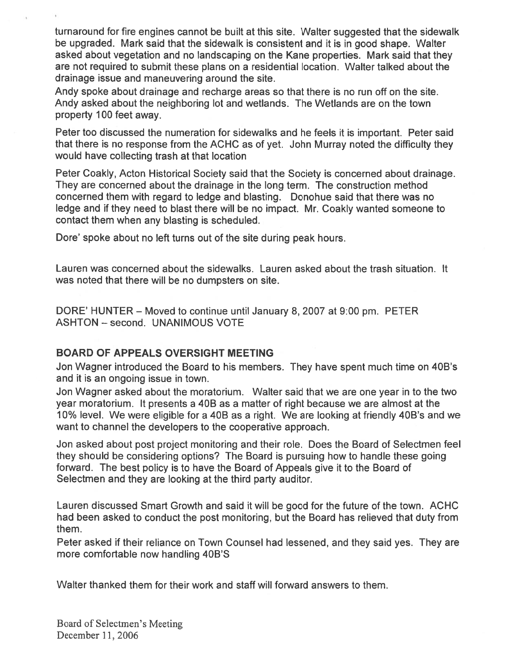turnaround for fire engines cannot be built at this site. Walter suggested that the sidewalk be upgraded. Mark said that the sidewalk is consistent and it is in good shape. Walter asked about vegetation and no landscaping on the Kane properties. Mark said that they are not required to submit these plans on <sup>a</sup> residential location. Walter talked about the drainage issue and maneuvering around the site.

Andy spoke about drainage and recharge areas so that there is no run off on the site. Andy asked about the neighboring lot and wetlands. The Wetlands are on the town property 100 feet away.

Peter too discussed the numeration for sidewalks and he feels it is important. Peter said that there is no response from the ACHC as of yet. John Murray noted the difficulty they would have collecting trash at that location

Peter Coakly, Acton Historical Society said that the Society is concerned about drainage. They are concerned about the drainage in the long term. The construction method concerned them with regard to ledge and blasting. Donohue said that there was no ledge and if they need to blast there will be no impact. Mr. Coakly wanted someone to contact them when any blasting is scheduled.

Dore' spoke about no left turns out of the site during peak hours.

Lauren was concerned about the sidewalks. Lauren asked about the trash situation. It was noted that there will be no dumpsters on site.

DORE' HUNTER — Moved to continue until January 8, 2007 at 9:00 pm. PETER ASHTON — second. UNANIMOUS VOTE

#### BOARD OF APPEALS OVERSIGHT MEETING

Jon Wagner introduced the Board to his members. They have spen<sup>t</sup> much time on 40B's and it is an ongoing issue in town.

Jon Wagner asked about the moratorium. Walter said that we are one year in to the two year moratorium. It presents <sup>a</sup> 40B as <sup>a</sup> matter of right because we are almost at the 10% level. We were eligible for <sup>a</sup> 40B as <sup>a</sup> right. We are looking at friendly 40B's and we want to channel the developers to the cooperative approach.

Jon asked about pos<sup>t</sup> project monitoring and their role. Does the Board of Selectmen feel they should be considering options? The Board is pursuing how to handle these going forward. The best policy is to have the Board of Appeals give it to the Board of Selectmen and they are looking at the third party auditor.

Lauren discussed Smart Growth and said it will be good for the future of the town. ACHC had been asked to conduct the pos<sup>t</sup> monitoring, but the Board has relieved that duty from them.

Peter asked if their reliance on Town Counsel had lessened, and they said yes. They are more comfortable now handling 40B'S

Walter thanked them for their work and staff will forward answers to them.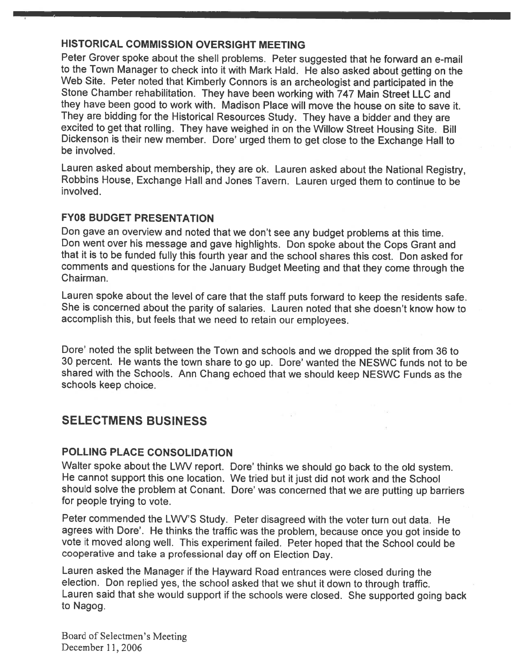#### HISTORICAL COMMISSION OVERSIGHT MEETING

Peter Grover spoke about the shell problems. Peter suggested that he forward an e-mail to the Town Manager to check into it with Mark Hald. He also asked about getting on the Web Site. Peter noted that Kimberly Connors is an archeologist and participated in the Stone Chamber rehabilitation. They have been working with <sup>747</sup> Main Street LLC and they have been good to work with. Madison Place will move the house on site to save it. They are bidding for the Historical Resources Study. They have <sup>a</sup> bidder and they are excited to get that rolling. They have weighed in on the Willow Street Housing Site. Bill Dickenson is their new member. Dore' urged them to get close to the Exchange Hall to be involved.

Lauren asked about membership, they are ok. Lauren asked about the National Registry, Robbins House, Exchange Hall and Jones Tavern. Lauren urged them to continue to be involved.

#### FY08 BUDGET PRESENTATION

Don gave an overview and noted that we don't see any budget problems at this time. Don went over his message and gave highlights. Don spoke about the Cops Grant and that it is to be funded fully this fourth year and the school shares this cost. Don asked for comments and questions for the January Budget Meeting and that they come through the Chairman.

Lauren spoke about the level of care that the staff puts forward to keep the residents safe. She is concerned about the parity of salaries. Lauren noted that she doesn't know how to accomplish this, but feels that we need to retain our employees.

Dore' noted the split between the Town and schools and we dropped the split from <sup>36</sup> to <sup>30</sup> percent. He wants the town share to go up. Dore' wanted the NESWC funds not to be shared with the Schools. Ann Chang echoed that we should keep NESWC Funds as the schools keep choice.

# SELECTMENS BUSINESS

#### POLLING PLACE CONSOLIDATION

Walter spoke about the LWV report. Dore' thinks we should go back to the old system. He cannot support this one location. We tried but it just did not work and the School should solve the problem at Conant. Dore' was concerned that we are putting up barriers for people trying to vote.

Peter commended the LWV'S Study. Peter disagreed with the voter turn out data. He agrees with Dore'. He thinks the traffic was the problem, because once you got inside to vote it moved along well. This experiment failed. Peter hoped that the School could be cooperative and take <sup>a</sup> professional day off on Election Day.

Lauren asked the Manager if the Hayward Road entrances were closed during the election. Don replied yes, the school asked that we shut it down to through traffic. Lauren said that she would support if the schools were closed. She supported going back to Nagog.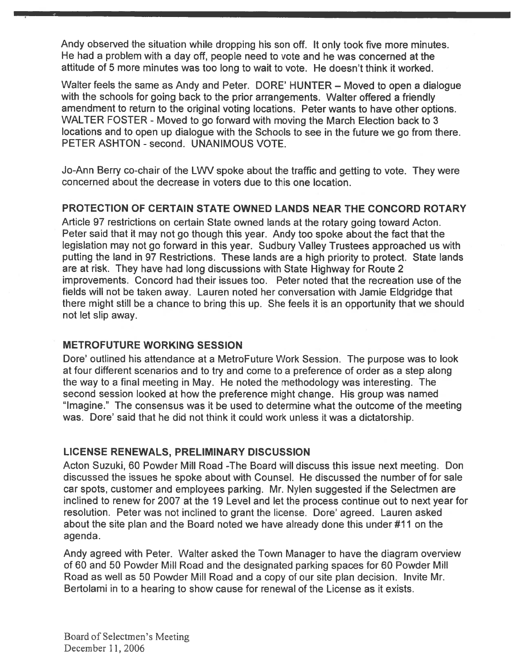Andy observed the situation while dropping his son off. It only took five more minutes. He had <sup>a</sup> problem with <sup>a</sup> day off, people need to vote and he was concerned at the attitude 015 more minutes was too long to wait to vote. He doesn't think it worked.

Walter feels the same as Andy and Peter. DORE' HUNTER – Moved to open a dialogue with the schools for going back to the prior arrangements. Walter offered <sup>a</sup> friendly amendment to return to the original voting locations. Peter wants to have other options. WALTER FOSTER - Moved to go forward with moving the March Election back to 3 locations and to open up dialogue with the Schools to see in the future we go from there. PETER ASHTON - second. UNANIMOUS VOTE.

Jo-Ann Berry co-chair of the LWV spoke about the traffic and getting to vote. They were concerned about the decrease in voters due to this one location.

#### PROTECTION OF CERTAIN STATE OWNED LANDS NEAR THE CONCORD ROTARY

Article <sup>97</sup> restrictions on certain State owned lands at the rotary going toward Acton. Peter said that it may not go though this year. Andy too spoke about the fact that the legislation may not go forward in this year. Sudbury Valley Trustees approached us with putting the land in 97 Restrictions. These lands are <sup>a</sup> high priority to protect. State lands are at risk. They have had long discussions with State Highway for Route 2 improvements. Concord had their issues too. Peter noted that the recreation use of the fields will not be taken away. Lauren noted her conversation with Jamie Eldgridge that there might still be <sup>a</sup> chance to bring this up. She feels it is an opportunity that we should not let slip away.

#### METROFUTURE WORKING SESSION

Dore' outlined his attendance at <sup>a</sup> MetroFuture Work Session. The purpose was to look at four different scenarios and to try and come to <sup>a</sup> preference of order as <sup>a</sup> step along the way to <sup>a</sup> final meeting in May. He noted the methodology was interesting. The second session looked at how the preference might change. His group was named "Imagine." The consensus was it be used to determine what the outcome of the meeting was. Dore' said that he did not think it could work unless it was <sup>a</sup> dictatorship.

#### LICENSE RENEWALS, PRELIMINARY DISCUSSION

Acton Suzuki, 60 Powder Mill Road -The Board will discuss this issue next meeting. Don discussed the issues he spoke about with Counsel. He discussed the number of for sale car spots, customer and employees parking. Mr. Nylen suggested if the Selectmen are inclined to renew for 2007 at the 19 Level and let the process continue out to next year for resolution. Peter was not inclined to gran<sup>t</sup> the license. Dore' agreed. Lauren asked about the site plan and the Board noted we have already done this under #11 on the agenda.

Andy agreed with Peter. Walter asked the Town Manager to have the diagram overview of 60 and 50 Powder Mill Road and the designated parking spaces for 60 Powder Mill Road as well as 50 Powder Mill Road and <sup>a</sup> copy of our site plan decision. Invite Mr. Bertolami in to <sup>a</sup> hearing to show cause for renewal of the License as it exists.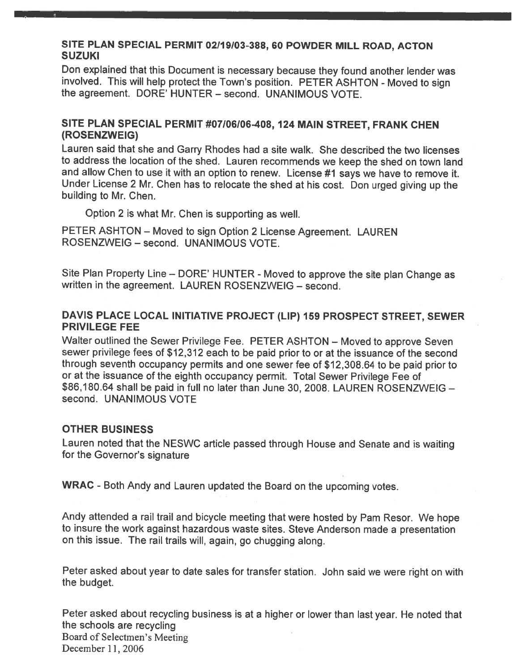#### SITE PLAN SPECIAL PERMIT 02119103-388, 60 POWDER MILL ROAD, ACTON **SUZUKI**

Don explained that this Document is necessary because they found another lender was involved. This will help protect the Town's position. PETER ASHTON - Moved to sign the agreement. DORE' HUNTER — second. UNANIMOUS VOTE.

#### SITE PLAN SPECIAL PERMIT #07106106-408, <sup>124</sup> MAIN STREET, FRANK CHEN (ROSENZWEIG)

Lauren said that she and Garry Rhodes had <sup>a</sup> site walk. She described the two licenses to address the location of the shed. Lauren recommends we keep the shed on town land and allow Chen to use it with an option to renew. License #1 says we have to remove it. Under License <sup>2</sup> Mr. Chen has to relocate the shed at his cost. Don urge<sup>d</sup> <sup>g</sup>iving up the building to Mr. Chen.

Option 2 is what Mr. Chen is supporting as well.

PETER ASHTON — Moved to sign Option <sup>2</sup> License Agreement. LAUREN ROSENZWEIG - second. UNANIMOUS VOTE.

Site Plan Property Line – DORE' HUNTER - Moved to approve the site plan Change as written in the agreement. LAUREN ROSENZWEIG — second.

#### DAVIS PLACE LOCAL INITIATIVE PROJECT (LIP) 159 PROSPECT STREET, SEWER PRIVILEGE FEE

Walter outlined the Sewer Privilege Fee. PETER ASHTON — Moved to approve Seven sewer privilege fees of \$12,312 each to be paid prior to or at the issuance of the second through seventh occupancy permits and one sewer fee of \$12,308.64 to be paid prior to or at the issuance of the eighth occupancy permit. Total Sewer Privilege Fee of \$86,180.64 shall be paid in full no later than June 30, 2008. LAUREN ROSENZWEIG second. UNANIMOUS VOTE

#### OTHER BUSINESS

Lauren noted that the NESWC article passe<sup>d</sup> through House and Senate and is waiting for the Governor's signature

WRAC - Both Andy and Lauren updated the Board on the upcoming votes.

Andy attended <sup>a</sup> rail trail and bicycle meeting that were hosted by Pam Resor. We hope to insure the work against hazardous waste sites. Steve Anderson made <sup>a</sup> presentation on this issue. The rail trails will, again, go chugging along.

Peter asked about year to date sales for transfer station. John said we were right on with the budget.

Peter asked about recycling business is at <sup>a</sup> higher or lower than last year. He noted that the schools are recycling Board of Selectmen's Meeting December 11, 2006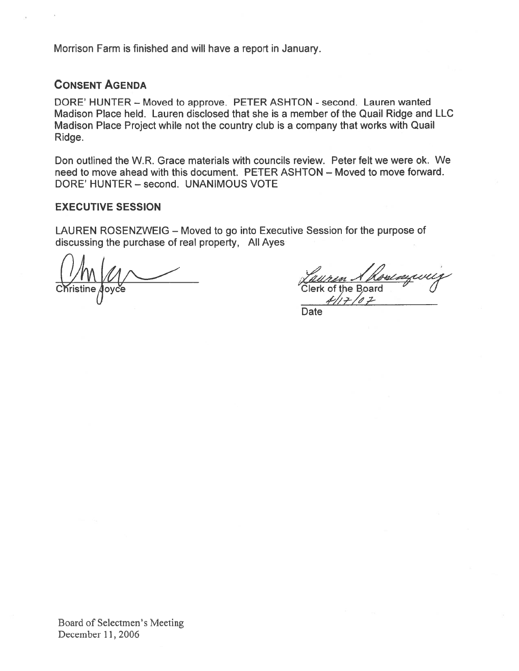Morrison Farm is finished and will have <sup>a</sup> repor<sup>t</sup> in January.

#### CONSENT AGENDA

DORE' HUNTER - Moved to approve. PETER ASHTON - second. Lauren wanted Madison Place held. Lauren disclosed that she is <sup>a</sup> member of the Quail Ridge and LLC Madison Place Project while not the country club is <sup>a</sup> company that works with Quail Ridge. Farm is finished and will have a report in January.<br>
IT AGENDA<br>
UNTER – Moved to approve. PETER ASHTON - second. Lauren wanted<br>
Place held. Lauren disclosed that she is a member of the Quail Ridge and I<br>
Place Project whi

Don outlined the W.R. Grace materials with councils review. Peter felt we were ok. We need to move ahead with this document. PETER ASHTON — Moved to move forward. DORE' HUNTER — second. UNANIMOUS VOTE

#### EXECUTIVE SESSION

LAUREN ROSENZWEIG — Moved to go into Executive Session for the purpose of discussing the purchase of real property, All Ayes

 $\chi \sim \chi$ <br>Apyce Clerk of the Board

Date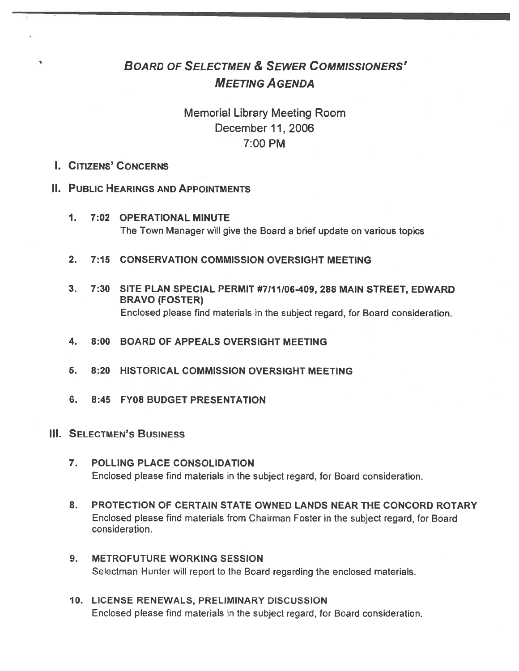# BOARD OF SELECTMEN & SEWER CoMMIssIoNERs' MEETING AGENDA

# Memorial Library Meeting Room December 11, 2006 7:00 PM

#### I. CiTIzENs' CONCERNS

۰

#### IL PUBLIC HEARINGS AND APPOINTMENTS

- 1. 7:02 OPERATIONAL MINUTE The Town Manager will give the Board <sup>a</sup> brief update on various topics
- 2. 7:15 CONSERVATION COMMISSION OVERSIGHT MEETING
- 3. 7:30 SITE PLAN SPECIAL PERMIT #7/11/06-409, 288 MAIN STREET, EDWARD BRAVO (FOSTER) Enclosed please find materials in the subject regard, for Board consideration.
- 4. 8:00 BOARD OF APPEALS OVERSIGHT MEETING
- 5. 8:20 HISTORICAL COMMISSION OVERSIGHT MEETING
- 6. 8:45 FY08 BUDGET PRESENTATION
- **III. SELECTMEN'S BUSINESS** 
	- 7. POLLING PLACE CONSOLIDATION Enclosed please find materials in the subject regard, for Board consideration.
	- 8. PROTECTION OF CERTAIN STATE OWNED LANDS NEAR THE CONCORD ROTARY Enclosed please find materials from Chairman Foster in the subject regard, for Board consideration.
	- 9. METROFUTURE WORKING SESSION Selectman Hunter will repor<sup>t</sup> to the Board regarding the enclosed materials.
	- 10. LICENSE RENEWALS, PRELIMINARY DISCUSSION Enclosed please find materials in the subject regard, for Board consideration.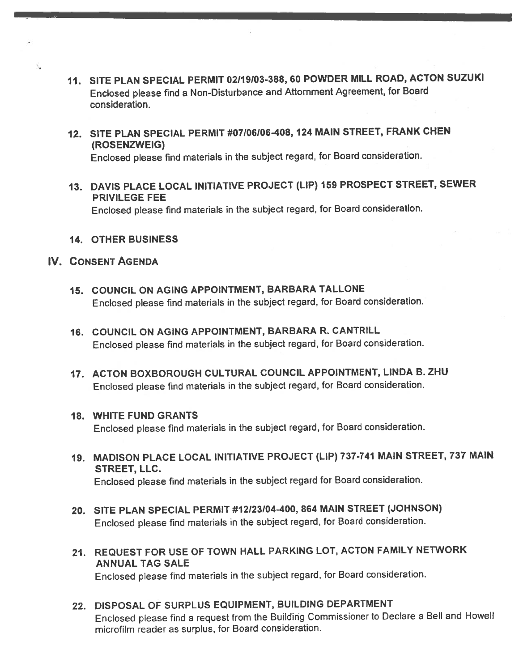- 11. SITE PLAN SPECIAL PERMIT 02119103-388, <sup>60</sup> POWDER MILL ROAD, ACTON SUZUKI Enclosed please find a Non-Disturbance and Attornment Agreement, for Board consideration.
- 12. SiTE PLAN SPECIAL PERMIT #07106I06408, <sup>124</sup> MAIN STREET, FRANK CHEN (ROSENZWEIG)

Enclosed <sup>p</sup>lease find materials in the subject regard, for Board consideration.

13. DAVIS PLACE LOCAL INITIATIVE PROJECT (LIP) <sup>159</sup> PROSPECT STREET, SEWER PRIVILEGE FEE

Enclosed <sup>p</sup>lease find materials in the subject regard, for Board consideration.

14. OTHER BUSINESS

#### IV. CoNsENT AGENDA

- 15. COUNCIL ON AGING APPOINTMENT, BARBARA TALLONE Enclosed <sup>p</sup>lease find materials in the subject regard, for Board consideration.
- 16. COUNCIL ON AGING APPOINTMENT, BARBARA R. CANTRILL Enclosed <sup>p</sup>lease find materials in the subject regard, for Board consideration.
- 17. ACTON BOXBOROUGH CULTURAL COUNCIL APPOINTMENT, LINDA B. ZHU Enclosed <sup>p</sup>lease find materials in the subject regard, for Board consideration.
- 18. WHITE FUND GRANTS Enclosed <sup>p</sup>lease find materials in the subject regard, for Board consideration.
- 19. MADISON PLACE LOCAL INITIATIVE PROJECT (LIP) 737-741 MAIN STREET, <sup>737</sup> MAIN STREET, LLC. Enclosed <sup>p</sup>lease find materials in the subject regar<sup>d</sup> for Board consideration.
- 20. SITE PLAN SPECIAL PERMIT #12/23/04-400, 864 MAIN STREET (JOHNSON) Enclosed <sup>p</sup>lease find materials in the subject regard, for Board consideration.
- 21. REQUEST FOR USE OF TOWN HALL PARKING LOT, ACTON FAMILY NETWORK ANNUAL TAG SALE

Enclosed <sup>p</sup>lease find materials in the subject regard, for Board consideration.

22. DISPOSAL OF SURPLUS EQUIPMENT, BUILDING DEPARTMENT Enclosed <sup>p</sup>lease find <sup>a</sup> reques<sup>t</sup> from the Building Commissioner to Declare <sup>a</sup> Bell and Howell microfilm reader as surplus, for Board consideration.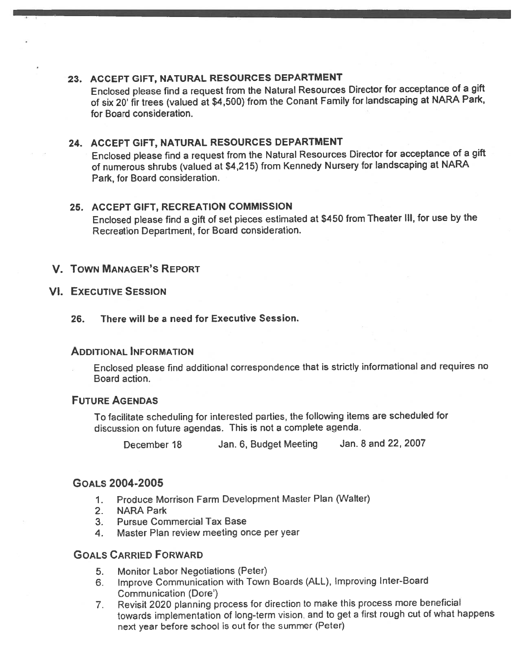#### 23. ACCEPT GIFT, NATURAL RESOURCES DEPARTMENT

Enclosed <sup>p</sup>lease find <sup>a</sup> reques<sup>t</sup> from the Natural Resources Director for acceptance of <sup>a</sup> <sup>g</sup>ift of six 20' fir trees (valued at \$4,500) from the Conant Family for landscaping at NARA Park, for Board consideration.

#### 24. ACCEPT GIFT, NATURAL RESOURCES DEPARTMENT

Enclosed <sup>p</sup>lease find <sup>a</sup> reques<sup>t</sup> from the Natural Resources Director for acceptance of <sup>a</sup> <sup>g</sup>ift of numerous shrubs (valued at \$4,215) from Kennedy Nursery for landscaping at NARA Park, for Board consideration.

#### 25. ACCEPT GIFT, RECREATION COMMISSION

Enclosed <sup>p</sup>lease find <sup>a</sup> <sup>g</sup>ift of set <sup>p</sup>ieces estimated at \$450 from Theater III, for use by the Recreation Department, for Board consideration.

#### V. TOWN MANAGER'S REPORT

#### VI. EXECUTIVE SESSION

#### 26. There will be <sup>a</sup> need for Executive Session.

#### ADDITIONAL INFORMATION

Enclosed <sup>p</sup>lease find additional correspondence that is strictly informational and requires no Board action.

#### FUTURE AGENDAS

To facilitate scheduling for interested parties, the following items are scheduled for discussion on future agendas. This is not <sup>a</sup> complete agenda.

December <sup>18</sup> Jan. 6, Budget Meeting Jan. <sup>8</sup> and 22, 2007

#### GOALS 2004-2005

- 1. Produce Morrison Farm Development Master Plan (Walter)
- 2. NARA Park
- 3. Pursue Commercial Tax Base
- 4. Master Plan review meeting once per year

#### GOALS CARRIED FORWARD

- 5. Monitor Labor Negotiations (Peter)
- 6. Improve Communication with Town Boards (ALL), Improving Inter-Board Communication (Dore')
- 7. Revisit <sup>2020</sup> <sup>p</sup>lanning process for direction to make this process more beneficial towards implementation of long-term vision, and to ge<sup>t</sup> <sup>a</sup> first roug<sup>h</sup> cut of what happens next year before school is out for the summer (Peter)